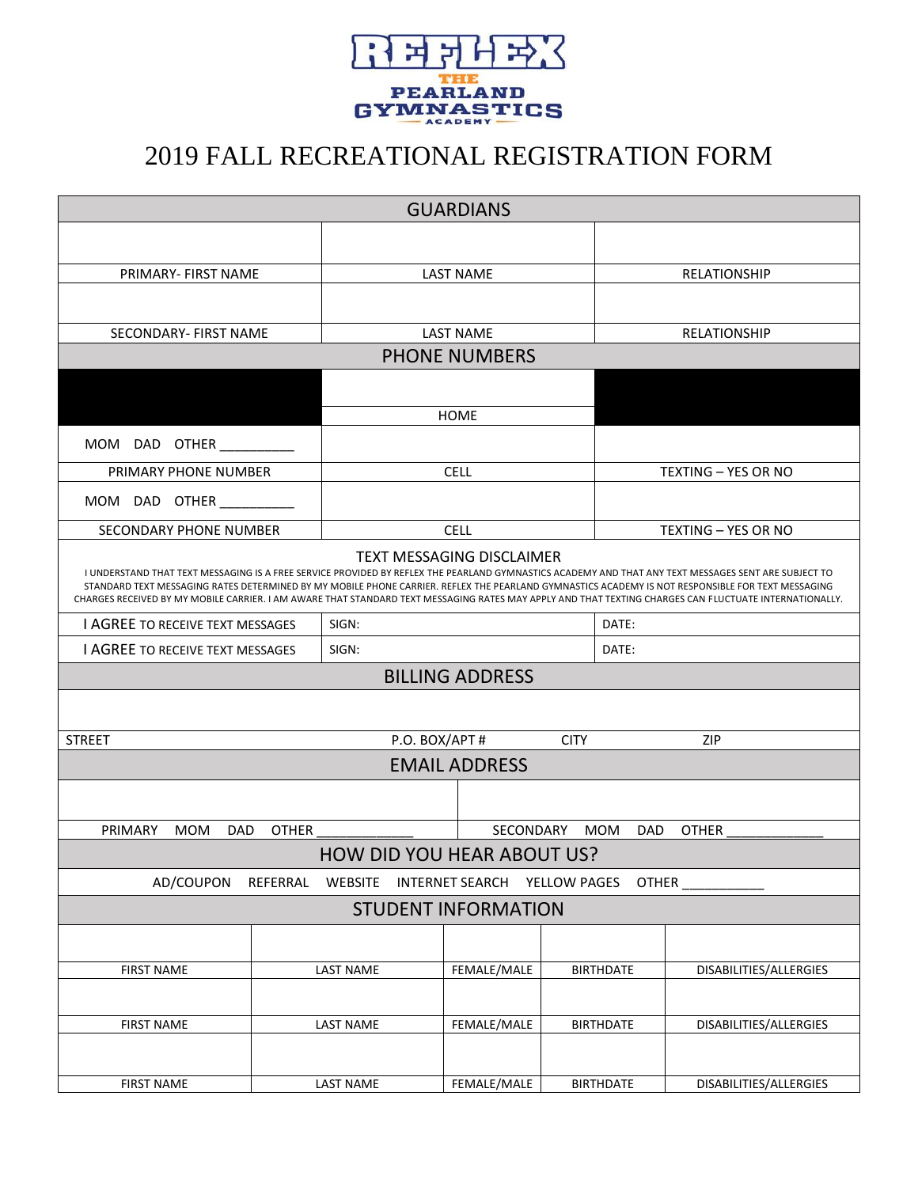

## 2019 FALL RECREATIONAL REGISTRATION FORM

| <b>GUARDIANS</b>                                                                                                                                                                                                                                                                                                                                                                                                                                                                                        |                               |                                      |             |                     |                     |                        |  |
|---------------------------------------------------------------------------------------------------------------------------------------------------------------------------------------------------------------------------------------------------------------------------------------------------------------------------------------------------------------------------------------------------------------------------------------------------------------------------------------------------------|-------------------------------|--------------------------------------|-------------|---------------------|---------------------|------------------------|--|
|                                                                                                                                                                                                                                                                                                                                                                                                                                                                                                         |                               |                                      |             |                     |                     |                        |  |
| PRIMARY- FIRST NAME                                                                                                                                                                                                                                                                                                                                                                                                                                                                                     |                               | <b>LAST NAME</b>                     |             |                     | RELATIONSHIP        |                        |  |
|                                                                                                                                                                                                                                                                                                                                                                                                                                                                                                         |                               |                                      |             |                     |                     |                        |  |
| SECONDARY- FIRST NAME                                                                                                                                                                                                                                                                                                                                                                                                                                                                                   |                               | <b>LAST NAME</b>                     |             |                     | <b>RELATIONSHIP</b> |                        |  |
| <b>PHONE NUMBERS</b>                                                                                                                                                                                                                                                                                                                                                                                                                                                                                    |                               |                                      |             |                     |                     |                        |  |
|                                                                                                                                                                                                                                                                                                                                                                                                                                                                                                         |                               |                                      |             |                     |                     |                        |  |
|                                                                                                                                                                                                                                                                                                                                                                                                                                                                                                         |                               |                                      | <b>HOME</b> |                     |                     |                        |  |
| MOM DAD<br>OTHER                                                                                                                                                                                                                                                                                                                                                                                                                                                                                        |                               |                                      |             |                     |                     |                        |  |
| PRIMARY PHONE NUMBER                                                                                                                                                                                                                                                                                                                                                                                                                                                                                    |                               | <b>CELL</b>                          |             |                     | TEXTING - YES OR NO |                        |  |
| DAD OTHER<br>MOM                                                                                                                                                                                                                                                                                                                                                                                                                                                                                        |                               |                                      |             |                     |                     |                        |  |
| SECONDARY PHONE NUMBER                                                                                                                                                                                                                                                                                                                                                                                                                                                                                  | <b>CELL</b>                   |                                      |             | TEXTING - YES OR NO |                     |                        |  |
| <b>TEXT MESSAGING DISCLAIMER</b><br>I UNDERSTAND THAT TEXT MESSAGING IS A FREE SERVICE PROVIDED BY REFLEX THE PEARLAND GYMNASTICS ACADEMY AND THAT ANY TEXT MESSAGES SENT ARE SUBJECT TO<br>STANDARD TEXT MESSAGING RATES DETERMINED BY MY MOBILE PHONE CARRIER. REFLEX THE PEARLAND GYMNASTICS ACADEMY IS NOT RESPONSIBLE FOR TEXT MESSAGING<br>CHARGES RECEIVED BY MY MOBILE CARRIER. I AM AWARE THAT STANDARD TEXT MESSAGING RATES MAY APPLY AND THAT TEXTING CHARGES CAN FLUCTUATE INTERNATIONALLY. |                               |                                      |             |                     |                     |                        |  |
| <b>I AGREE TO RECEIVE TEXT MESSAGES</b>                                                                                                                                                                                                                                                                                                                                                                                                                                                                 |                               | SIGN:                                |             |                     | DATE:               |                        |  |
| <b>LAGREE TO RECEIVE TEXT MESSAGES</b>                                                                                                                                                                                                                                                                                                                                                                                                                                                                  |                               | SIGN:                                |             |                     | DATE:               |                        |  |
| <b>BILLING ADDRESS</b>                                                                                                                                                                                                                                                                                                                                                                                                                                                                                  |                               |                                      |             |                     |                     |                        |  |
|                                                                                                                                                                                                                                                                                                                                                                                                                                                                                                         |                               |                                      |             |                     |                     |                        |  |
| <b>STREET</b>                                                                                                                                                                                                                                                                                                                                                                                                                                                                                           | P.O. BOX/APT #<br><b>CITY</b> |                                      |             | <b>ZIP</b>          |                     |                        |  |
| <b>EMAIL ADDRESS</b>                                                                                                                                                                                                                                                                                                                                                                                                                                                                                    |                               |                                      |             |                     |                     |                        |  |
|                                                                                                                                                                                                                                                                                                                                                                                                                                                                                                         |                               |                                      |             |                     |                     |                        |  |
| PRIMARY<br><b>OTHER</b><br>SECONDARY<br><b>OTHER</b><br><b>MOM</b><br><b>DAD</b><br><b>MOM</b><br>DAD.                                                                                                                                                                                                                                                                                                                                                                                                  |                               |                                      |             |                     |                     |                        |  |
|                                                                                                                                                                                                                                                                                                                                                                                                                                                                                                         |                               | <b>HOW DID YOU HEAR ABOUT US?</b>    |             |                     |                     |                        |  |
| AD/COUPON                                                                                                                                                                                                                                                                                                                                                                                                                                                                                               | REFERRAL                      | WEBSITE INTERNET SEARCH YELLOW PAGES |             |                     | <b>OTHER</b>        |                        |  |
| <b>STUDENT INFORMATION</b>                                                                                                                                                                                                                                                                                                                                                                                                                                                                              |                               |                                      |             |                     |                     |                        |  |
|                                                                                                                                                                                                                                                                                                                                                                                                                                                                                                         |                               |                                      |             |                     |                     |                        |  |
| <b>FIRST NAME</b>                                                                                                                                                                                                                                                                                                                                                                                                                                                                                       |                               | <b>LAST NAME</b>                     | FEMALE/MALE |                     | <b>BIRTHDATE</b>    | DISABILITIES/ALLERGIES |  |
|                                                                                                                                                                                                                                                                                                                                                                                                                                                                                                         |                               |                                      |             |                     |                     |                        |  |
| <b>FIRST NAME</b>                                                                                                                                                                                                                                                                                                                                                                                                                                                                                       |                               | <b>LAST NAME</b>                     | FEMALE/MALE |                     | <b>BIRTHDATE</b>    | DISABILITIES/ALLERGIES |  |
|                                                                                                                                                                                                                                                                                                                                                                                                                                                                                                         |                               |                                      |             |                     |                     |                        |  |
| <b>FIRST NAME</b>                                                                                                                                                                                                                                                                                                                                                                                                                                                                                       |                               | <b>LAST NAME</b>                     | FEMALE/MALE |                     | <b>BIRTHDATE</b>    | DISABILITIES/ALLERGIES |  |